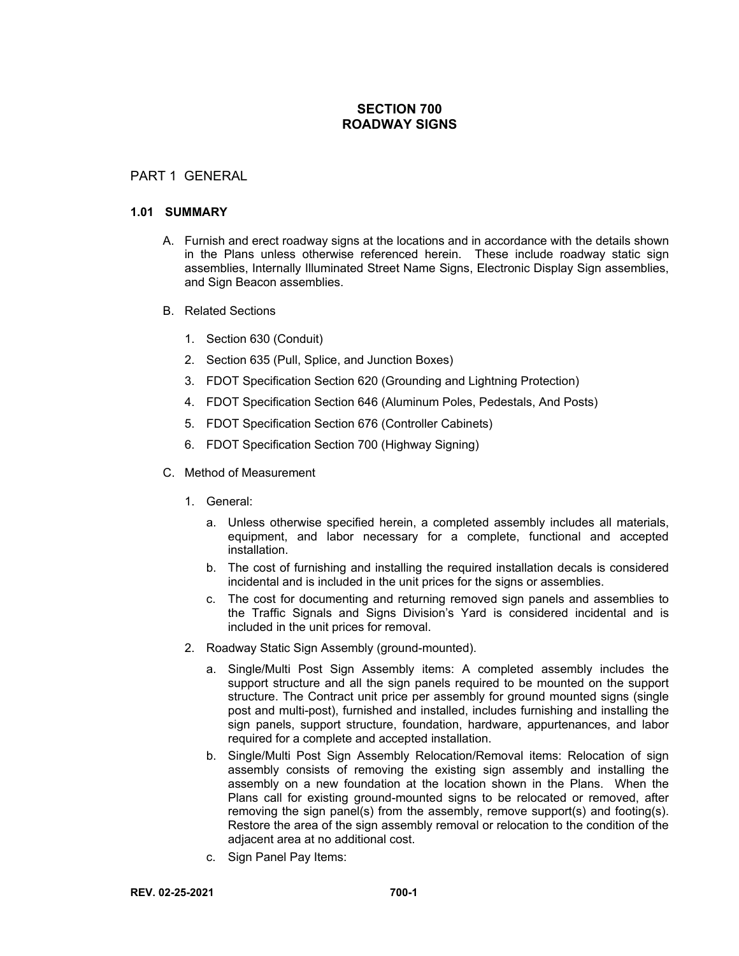# **SECTION 700 ROADWAY SIGNS**

### PART 1 GENERAL

### **1.01 SUMMARY**

- A. Furnish and erect roadway signs at the locations and in accordance with the details shown in the Plans unless otherwise referenced herein. These include roadway static sign assemblies, Internally Illuminated Street Name Signs, Electronic Display Sign assemblies, and Sign Beacon assemblies.
- B. Related Sections
	- 1. Section 630 (Conduit)
	- 2. Section 635 (Pull, Splice, and Junction Boxes)
	- 3. FDOT Specification Section 620 (Grounding and Lightning Protection)
	- 4. FDOT Specification Section 646 (Aluminum Poles, Pedestals, And Posts)
	- 5. FDOT Specification Section 676 (Controller Cabinets)
	- 6. FDOT Specification Section 700 (Highway Signing)
- C. Method of Measurement
	- 1. General:
		- a. Unless otherwise specified herein, a completed assembly includes all materials, equipment, and labor necessary for a complete, functional and accepted installation.
		- b. The cost of furnishing and installing the required installation decals is considered incidental and is included in the unit prices for the signs or assemblies.
		- c. The cost for documenting and returning removed sign panels and assemblies to the Traffic Signals and Signs Division's Yard is considered incidental and is included in the unit prices for removal.
	- 2. Roadway Static Sign Assembly (ground-mounted).
		- a. Single/Multi Post Sign Assembly items: A completed assembly includes the support structure and all the sign panels required to be mounted on the support structure. The Contract unit price per assembly for ground mounted signs (single post and multi-post), furnished and installed, includes furnishing and installing the sign panels, support structure, foundation, hardware, appurtenances, and labor required for a complete and accepted installation.
		- b. Single/Multi Post Sign Assembly Relocation/Removal items: Relocation of sign assembly consists of removing the existing sign assembly and installing the assembly on a new foundation at the location shown in the Plans. When the Plans call for existing ground-mounted signs to be relocated or removed, after removing the sign panel(s) from the assembly, remove support(s) and footing(s). Restore the area of the sign assembly removal or relocation to the condition of the adjacent area at no additional cost.
		- c. Sign Panel Pay Items: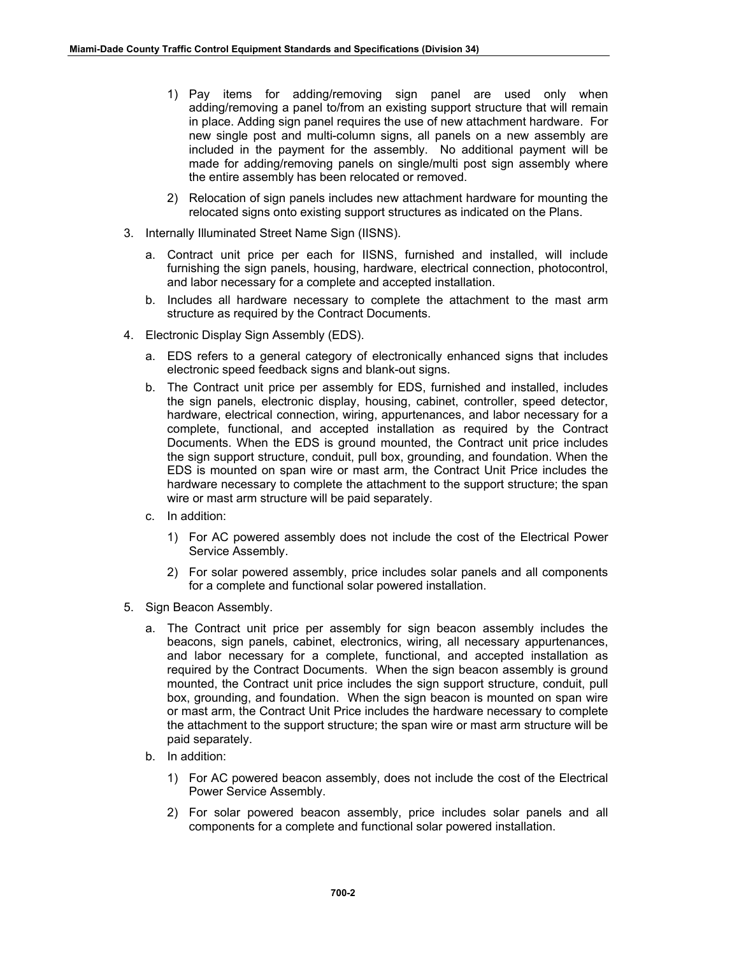- 1) Pay items for adding/removing sign panel are used only when adding/removing a panel to/from an existing support structure that will remain in place. Adding sign panel requires the use of new attachment hardware. For new single post and multi-column signs, all panels on a new assembly are included in the payment for the assembly. No additional payment will be made for adding/removing panels on single/multi post sign assembly where the entire assembly has been relocated or removed.
- 2) Relocation of sign panels includes new attachment hardware for mounting the relocated signs onto existing support structures as indicated on the Plans.
- 3. Internally Illuminated Street Name Sign (IISNS).
	- a. Contract unit price per each for IISNS, furnished and installed, will include furnishing the sign panels, housing, hardware, electrical connection, photocontrol, and labor necessary for a complete and accepted installation.
	- b. Includes all hardware necessary to complete the attachment to the mast arm structure as required by the Contract Documents.
- 4. Electronic Display Sign Assembly (EDS).
	- a. EDS refers to a general category of electronically enhanced signs that includes electronic speed feedback signs and blank-out signs.
	- b. The Contract unit price per assembly for EDS, furnished and installed, includes the sign panels, electronic display, housing, cabinet, controller, speed detector, hardware, electrical connection, wiring, appurtenances, and labor necessary for a complete, functional, and accepted installation as required by the Contract Documents. When the EDS is ground mounted, the Contract unit price includes the sign support structure, conduit, pull box, grounding, and foundation. When the EDS is mounted on span wire or mast arm, the Contract Unit Price includes the hardware necessary to complete the attachment to the support structure; the span wire or mast arm structure will be paid separately.
	- c. In addition:
		- 1) For AC powered assembly does not include the cost of the Electrical Power Service Assembly.
		- 2) For solar powered assembly, price includes solar panels and all components for a complete and functional solar powered installation.
- 5. Sign Beacon Assembly.
	- a. The Contract unit price per assembly for sign beacon assembly includes the beacons, sign panels, cabinet, electronics, wiring, all necessary appurtenances, and labor necessary for a complete, functional, and accepted installation as required by the Contract Documents. When the sign beacon assembly is ground mounted, the Contract unit price includes the sign support structure, conduit, pull box, grounding, and foundation. When the sign beacon is mounted on span wire or mast arm, the Contract Unit Price includes the hardware necessary to complete the attachment to the support structure; the span wire or mast arm structure will be paid separately.
	- b. In addition:
		- 1) For AC powered beacon assembly, does not include the cost of the Electrical Power Service Assembly.
		- 2) For solar powered beacon assembly, price includes solar panels and all components for a complete and functional solar powered installation.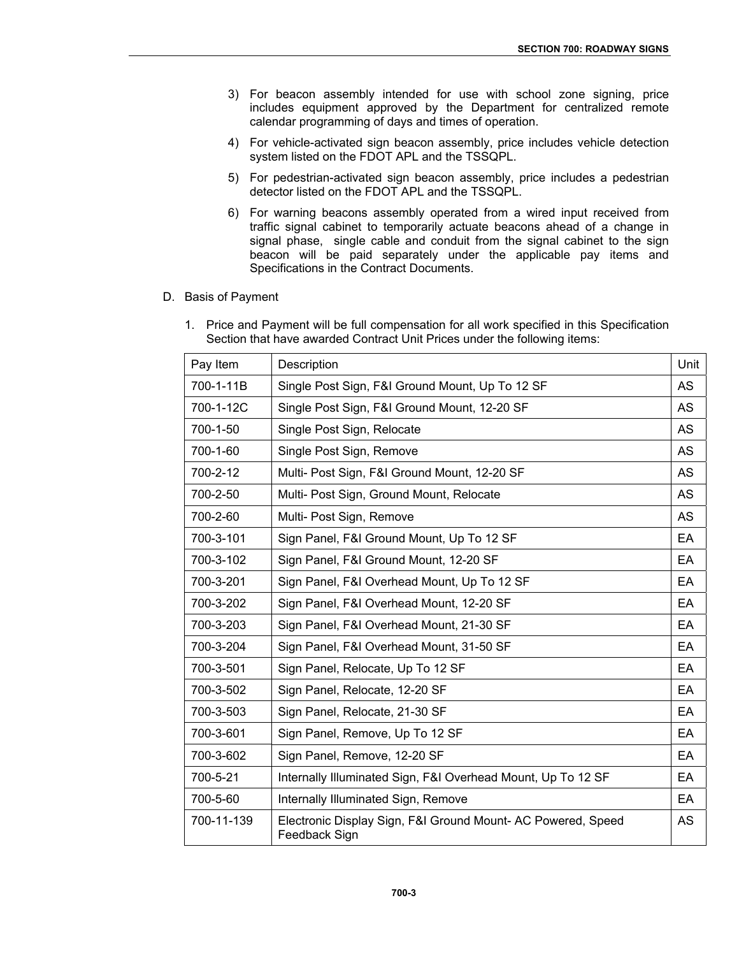- 3) For beacon assembly intended for use with school zone signing, price includes equipment approved by the Department for centralized remote calendar programming of days and times of operation.
- 4) For vehicle-activated sign beacon assembly, price includes vehicle detection system listed on the FDOT APL and the TSSQPL.
- 5) For pedestrian-activated sign beacon assembly, price includes a pedestrian detector listed on the FDOT APL and the TSSQPL.
- 6) For warning beacons assembly operated from a wired input received from traffic signal cabinet to temporarily actuate beacons ahead of a change in signal phase, single cable and conduit from the signal cabinet to the sign beacon will be paid separately under the applicable pay items and Specifications in the Contract Documents.
- D. Basis of Payment
	- 1. Price and Payment will be full compensation for all work specified in this Specification Section that have awarded Contract Unit Prices under the following items:

| Pay Item   | Description                                                                  | Unit      |
|------------|------------------------------------------------------------------------------|-----------|
| 700-1-11B  | Single Post Sign, F&I Ground Mount, Up To 12 SF                              | <b>AS</b> |
| 700-1-12C  | Single Post Sign, F&I Ground Mount, 12-20 SF                                 | <b>AS</b> |
| 700-1-50   | Single Post Sign, Relocate                                                   | <b>AS</b> |
| 700-1-60   | Single Post Sign, Remove                                                     | <b>AS</b> |
| 700-2-12   | Multi- Post Sign, F&I Ground Mount, 12-20 SF                                 | <b>AS</b> |
| 700-2-50   | Multi- Post Sign, Ground Mount, Relocate                                     | AS        |
| 700-2-60   | Multi- Post Sign, Remove                                                     | <b>AS</b> |
| 700-3-101  | Sign Panel, F&I Ground Mount, Up To 12 SF                                    | EA        |
| 700-3-102  | Sign Panel, F&I Ground Mount, 12-20 SF                                       | EA        |
| 700-3-201  | Sign Panel, F&I Overhead Mount, Up To 12 SF                                  | EA        |
| 700-3-202  | Sign Panel, F&I Overhead Mount, 12-20 SF                                     | EA        |
| 700-3-203  | Sign Panel, F&I Overhead Mount, 21-30 SF                                     | <b>EA</b> |
| 700-3-204  | Sign Panel, F&I Overhead Mount, 31-50 SF                                     | EA        |
| 700-3-501  | Sign Panel, Relocate, Up To 12 SF                                            | EA        |
| 700-3-502  | Sign Panel, Relocate, 12-20 SF                                               | EA        |
| 700-3-503  | Sign Panel, Relocate, 21-30 SF                                               | <b>EA</b> |
| 700-3-601  | Sign Panel, Remove, Up To 12 SF                                              | EA        |
| 700-3-602  | Sign Panel, Remove, 12-20 SF                                                 | EA        |
| 700-5-21   | Internally Illuminated Sign, F&I Overhead Mount, Up To 12 SF                 | EA        |
| 700-5-60   | Internally Illuminated Sign, Remove                                          | <b>EA</b> |
| 700-11-139 | Electronic Display Sign, F&I Ground Mount-AC Powered, Speed<br>Feedback Sign | AS        |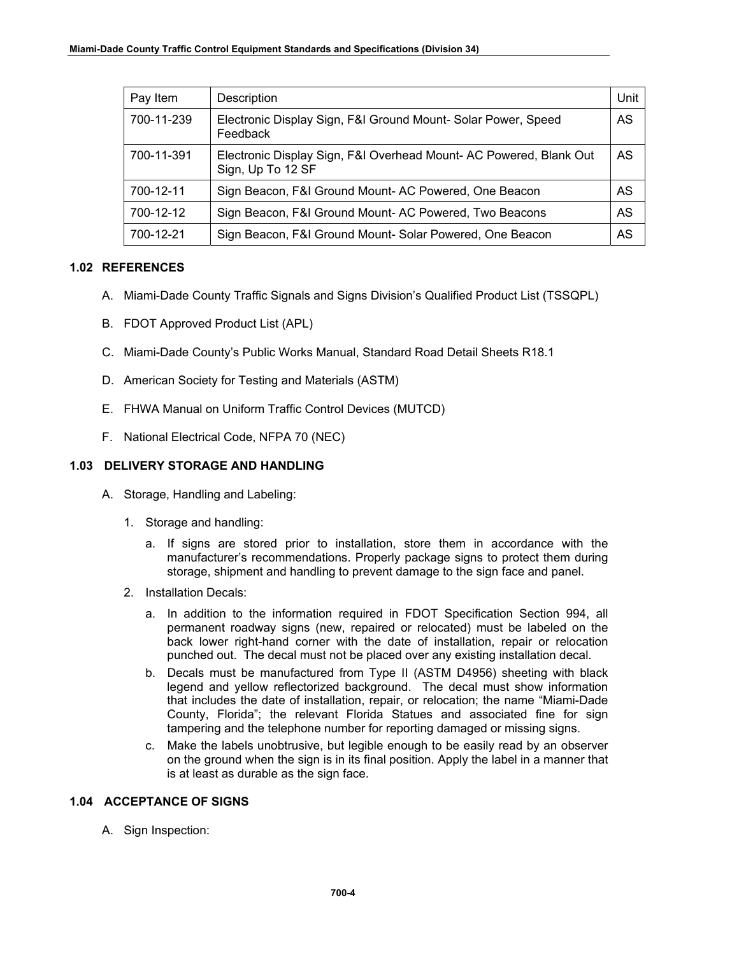| Pay Item   | Description                                                                            | Unit |
|------------|----------------------------------------------------------------------------------------|------|
| 700-11-239 | Electronic Display Sign, F&I Ground Mount-Solar Power, Speed<br>Feedback               | AS   |
| 700-11-391 | Electronic Display Sign, F&I Overhead Mount-AC Powered, Blank Out<br>Sign, Up To 12 SF | AS   |
| 700-12-11  | Sign Beacon, F&I Ground Mount-AC Powered, One Beacon                                   | AS   |
| 700-12-12  | Sign Beacon, F&I Ground Mount-AC Powered, Two Beacons                                  | AS   |
| 700-12-21  | Sign Beacon, F&I Ground Mount-Solar Powered, One Beacon                                | AS   |

## **1.02 REFERENCES**

- A. Miami-Dade County Traffic Signals and Signs Division's Qualified Product List (TSSQPL)
- B. FDOT Approved Product List (APL)
- C. Miami-Dade County's Public Works Manual, Standard Road Detail Sheets R18.1
- D. American Society for Testing and Materials (ASTM)
- E. FHWA Manual on Uniform Traffic Control Devices (MUTCD)
- F. National Electrical Code, NFPA 70 (NEC)

## **1.03 DELIVERY STORAGE AND HANDLING**

- A. Storage, Handling and Labeling:
	- 1. Storage and handling:
		- a. If signs are stored prior to installation, store them in accordance with the manufacturer's recommendations. Properly package signs to protect them during storage, shipment and handling to prevent damage to the sign face and panel.
	- 2. Installation Decals:
		- a. In addition to the information required in FDOT Specification Section 994, all permanent roadway signs (new, repaired or relocated) must be labeled on the back lower right-hand corner with the date of installation, repair or relocation punched out. The decal must not be placed over any existing installation decal.
		- b. Decals must be manufactured from Type II (ASTM D4956) sheeting with black legend and yellow reflectorized background. The decal must show information that includes the date of installation, repair, or relocation; the name "Miami-Dade County, Florida"; the relevant Florida Statues and associated fine for sign tampering and the telephone number for reporting damaged or missing signs.
		- c. Make the labels unobtrusive, but legible enough to be easily read by an observer on the ground when the sign is in its final position. Apply the label in a manner that is at least as durable as the sign face.

### **1.04 ACCEPTANCE OF SIGNS**

A. Sign Inspection: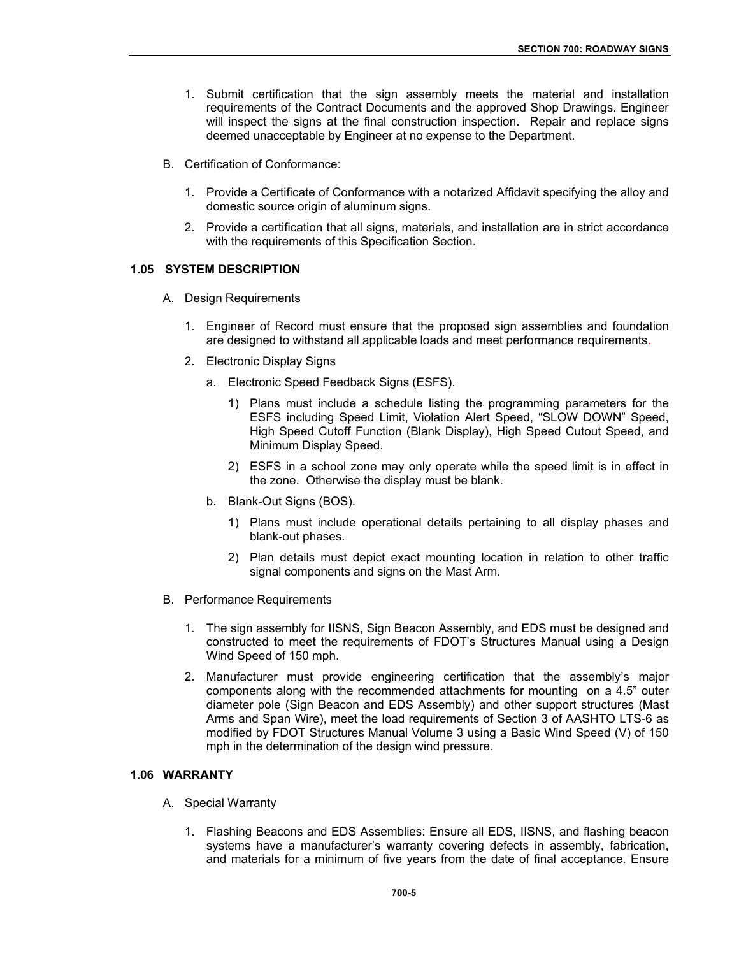- 1. Submit certification that the sign assembly meets the material and installation requirements of the Contract Documents and the approved Shop Drawings. Engineer will inspect the signs at the final construction inspection. Repair and replace signs deemed unacceptable by Engineer at no expense to the Department.
- B. Certification of Conformance:
	- 1. Provide a Certificate of Conformance with a notarized Affidavit specifying the alloy and domestic source origin of aluminum signs.
	- 2. Provide a certification that all signs, materials, and installation are in strict accordance with the requirements of this Specification Section.

#### **1.05 SYSTEM DESCRIPTION**

- A. Design Requirements
	- 1. Engineer of Record must ensure that the proposed sign assemblies and foundation are designed to withstand all applicable loads and meet performance requirements.
	- 2. Electronic Display Signs
		- a. Electronic Speed Feedback Signs (ESFS).
			- 1) Plans must include a schedule listing the programming parameters for the ESFS including Speed Limit, Violation Alert Speed, "SLOW DOWN" Speed, High Speed Cutoff Function (Blank Display), High Speed Cutout Speed, and Minimum Display Speed.
			- 2) ESFS in a school zone may only operate while the speed limit is in effect in the zone. Otherwise the display must be blank.
		- b. Blank-Out Signs (BOS).
			- 1) Plans must include operational details pertaining to all display phases and blank-out phases.
			- 2) Plan details must depict exact mounting location in relation to other traffic signal components and signs on the Mast Arm.
- B. Performance Requirements
	- 1. The sign assembly for IISNS, Sign Beacon Assembly, and EDS must be designed and constructed to meet the requirements of FDOT's Structures Manual using a Design Wind Speed of 150 mph.
	- 2. Manufacturer must provide engineering certification that the assembly's major components along with the recommended attachments for mounting on a 4.5" outer diameter pole (Sign Beacon and EDS Assembly) and other support structures (Mast Arms and Span Wire), meet the load requirements of Section 3 of AASHTO LTS-6 as modified by FDOT Structures Manual Volume 3 using a Basic Wind Speed (V) of 150 mph in the determination of the design wind pressure.

#### **1.06 WARRANTY**

- A. Special Warranty
	- 1. Flashing Beacons and EDS Assemblies: Ensure all EDS, IISNS, and flashing beacon systems have a manufacturer's warranty covering defects in assembly, fabrication, and materials for a minimum of five years from the date of final acceptance. Ensure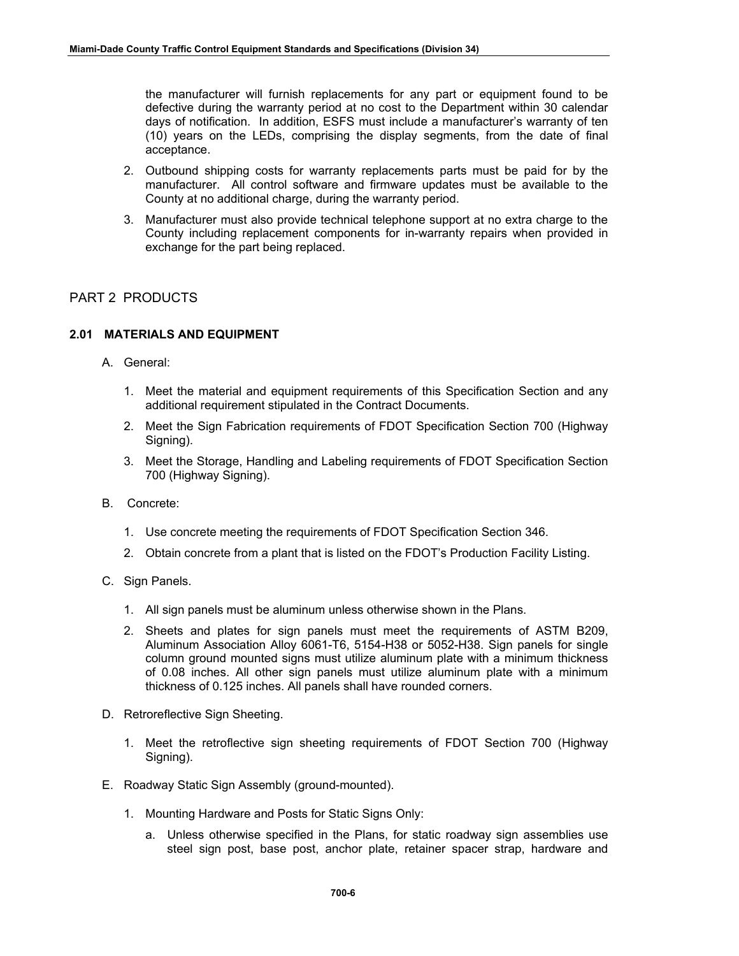the manufacturer will furnish replacements for any part or equipment found to be defective during the warranty period at no cost to the Department within 30 calendar days of notification. In addition, ESFS must include a manufacturer's warranty of ten (10) years on the LEDs, comprising the display segments, from the date of final acceptance.

- 2. Outbound shipping costs for warranty replacements parts must be paid for by the manufacturer. All control software and firmware updates must be available to the County at no additional charge, during the warranty period.
- 3. Manufacturer must also provide technical telephone support at no extra charge to the County including replacement components for in-warranty repairs when provided in exchange for the part being replaced.

# PART 2 PRODUCTS

# **2.01 MATERIALS AND EQUIPMENT**

- A. General:
	- 1. Meet the material and equipment requirements of this Specification Section and any additional requirement stipulated in the Contract Documents.
	- 2. Meet the Sign Fabrication requirements of FDOT Specification Section 700 (Highway Signing).
	- 3. Meet the Storage, Handling and Labeling requirements of FDOT Specification Section 700 (Highway Signing).
- B. Concrete:
	- 1. Use concrete meeting the requirements of FDOT Specification Section 346.
	- 2. Obtain concrete from a plant that is listed on the FDOT's Production Facility Listing.
- C. Sign Panels.
	- 1. All sign panels must be aluminum unless otherwise shown in the Plans.
	- 2. Sheets and plates for sign panels must meet the requirements of ASTM B209, Aluminum Association Alloy 6061-T6, 5154-H38 or 5052-H38. Sign panels for single column ground mounted signs must utilize aluminum plate with a minimum thickness of 0.08 inches. All other sign panels must utilize aluminum plate with a minimum thickness of 0.125 inches. All panels shall have rounded corners.
- D. Retroreflective Sign Sheeting.
	- 1. Meet the retroflective sign sheeting requirements of FDOT Section 700 (Highway Signing).
- E. Roadway Static Sign Assembly (ground-mounted).
	- 1. Mounting Hardware and Posts for Static Signs Only:
		- a. Unless otherwise specified in the Plans, for static roadway sign assemblies use steel sign post, base post, anchor plate, retainer spacer strap, hardware and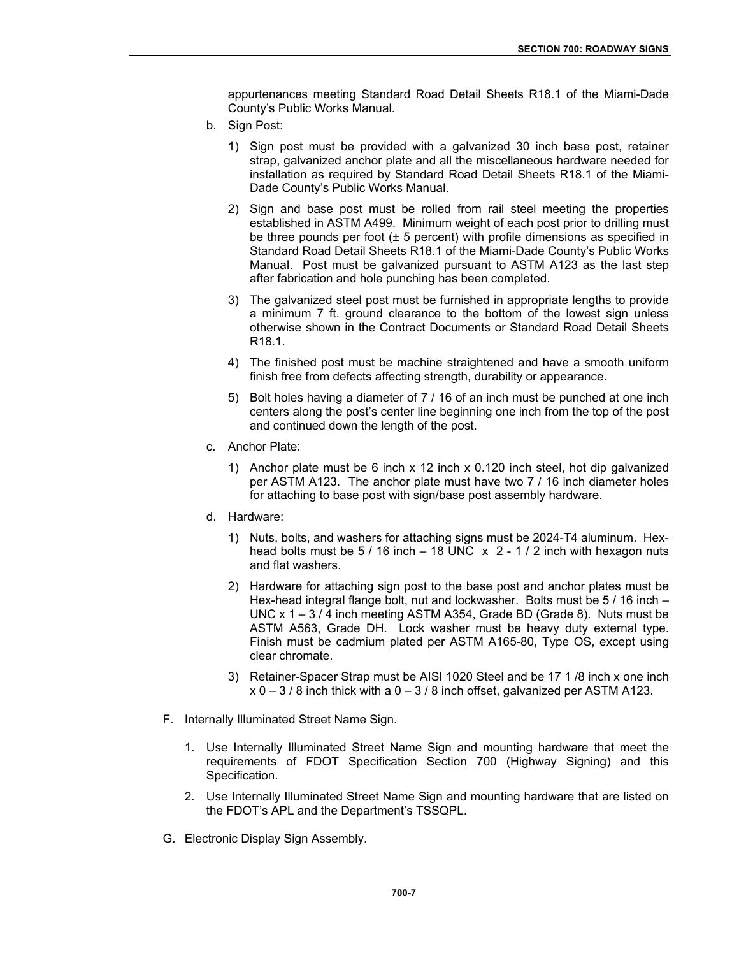appurtenances meeting Standard Road Detail Sheets R18.1 of the Miami-Dade County's Public Works Manual.

- b. Sign Post:
	- 1) Sign post must be provided with a galvanized 30 inch base post, retainer strap, galvanized anchor plate and all the miscellaneous hardware needed for installation as required by Standard Road Detail Sheets R18.1 of the Miami-Dade County's Public Works Manual.
	- 2) Sign and base post must be rolled from rail steel meeting the properties established in ASTM A499. Minimum weight of each post prior to drilling must be three pounds per foot  $(\pm 5$  percent) with profile dimensions as specified in Standard Road Detail Sheets R18.1 of the Miami-Dade County's Public Works Manual. Post must be galvanized pursuant to ASTM A123 as the last step after fabrication and hole punching has been completed.
	- 3) The galvanized steel post must be furnished in appropriate lengths to provide a minimum 7 ft. ground clearance to the bottom of the lowest sign unless otherwise shown in the Contract Documents or Standard Road Detail Sheets R18.1.
	- 4) The finished post must be machine straightened and have a smooth uniform finish free from defects affecting strength, durability or appearance.
	- 5) Bolt holes having a diameter of 7 / 16 of an inch must be punched at one inch centers along the post's center line beginning one inch from the top of the post and continued down the length of the post.
- c. Anchor Plate:
	- 1) Anchor plate must be 6 inch x 12 inch x 0.120 inch steel, hot dip galvanized per ASTM A123. The anchor plate must have two 7 / 16 inch diameter holes for attaching to base post with sign/base post assembly hardware.
- d. Hardware:
	- 1) Nuts, bolts, and washers for attaching signs must be 2024-T4 aluminum. Hexhead bolts must be  $5/16$  inch  $-18$  UNC  $\times$  2 - 1/2 inch with hexagon nuts and flat washers.
	- 2) Hardware for attaching sign post to the base post and anchor plates must be Hex-head integral flange bolt, nut and lockwasher. Bolts must be 5 / 16 inch – UNC x  $1 - 3/4$  inch meeting ASTM A354, Grade BD (Grade 8). Nuts must be ASTM A563, Grade DH. Lock washer must be heavy duty external type. Finish must be cadmium plated per ASTM A165-80, Type OS, except using clear chromate.
	- 3) Retainer-Spacer Strap must be AISI 1020 Steel and be 17 1 /8 inch x one inch  $x 0 - 3 / 8$  inch thick with a  $0 - 3 / 8$  inch offset, galvanized per ASTM A123.
- F. Internally Illuminated Street Name Sign.
	- 1. Use Internally Illuminated Street Name Sign and mounting hardware that meet the requirements of FDOT Specification Section 700 (Highway Signing) and this Specification.
	- 2. Use Internally Illuminated Street Name Sign and mounting hardware that are listed on the FDOT's APL and the Department's TSSQPL.
- G. Electronic Display Sign Assembly.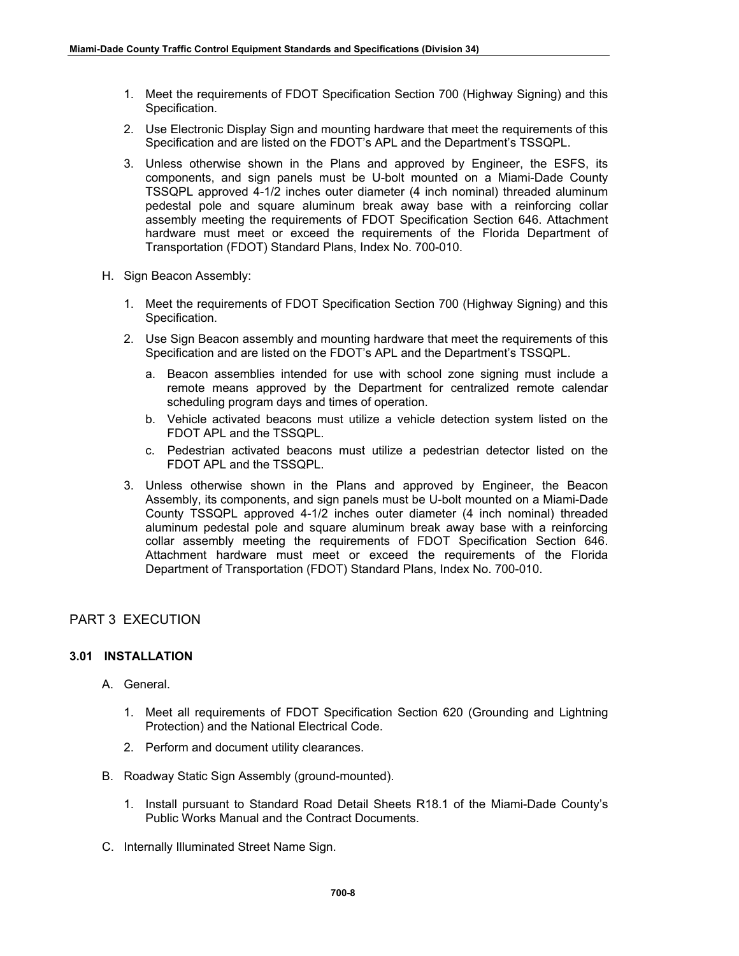- 1. Meet the requirements of FDOT Specification Section 700 (Highway Signing) and this Specification.
- 2. Use Electronic Display Sign and mounting hardware that meet the requirements of this Specification and are listed on the FDOT's APL and the Department's TSSQPL.
- 3. Unless otherwise shown in the Plans and approved by Engineer, the ESFS, its components, and sign panels must be U-bolt mounted on a Miami-Dade County TSSQPL approved 4-1/2 inches outer diameter (4 inch nominal) threaded aluminum pedestal pole and square aluminum break away base with a reinforcing collar assembly meeting the requirements of FDOT Specification Section 646. Attachment hardware must meet or exceed the requirements of the Florida Department of Transportation (FDOT) Standard Plans, Index No. 700-010.
- H. Sign Beacon Assembly:
	- 1. Meet the requirements of FDOT Specification Section 700 (Highway Signing) and this Specification.
	- 2. Use Sign Beacon assembly and mounting hardware that meet the requirements of this Specification and are listed on the FDOT's APL and the Department's TSSQPL.
		- a. Beacon assemblies intended for use with school zone signing must include a remote means approved by the Department for centralized remote calendar scheduling program days and times of operation.
		- b. Vehicle activated beacons must utilize a vehicle detection system listed on the FDOT APL and the TSSQPL.
		- c. Pedestrian activated beacons must utilize a pedestrian detector listed on the FDOT APL and the TSSQPL.
	- 3. Unless otherwise shown in the Plans and approved by Engineer, the Beacon Assembly, its components, and sign panels must be U-bolt mounted on a Miami-Dade County TSSQPL approved 4-1/2 inches outer diameter (4 inch nominal) threaded aluminum pedestal pole and square aluminum break away base with a reinforcing collar assembly meeting the requirements of FDOT Specification Section 646. Attachment hardware must meet or exceed the requirements of the Florida Department of Transportation (FDOT) Standard Plans, Index No. 700-010.

# PART 3 EXECUTION

### **3.01 INSTALLATION**

- A. General.
	- 1. Meet all requirements of FDOT Specification Section 620 (Grounding and Lightning Protection) and the National Electrical Code.
	- 2. Perform and document utility clearances.
- B. Roadway Static Sign Assembly (ground-mounted).
	- 1. Install pursuant to Standard Road Detail Sheets R18.1 of the Miami-Dade County's Public Works Manual and the Contract Documents.
- C. Internally Illuminated Street Name Sign.